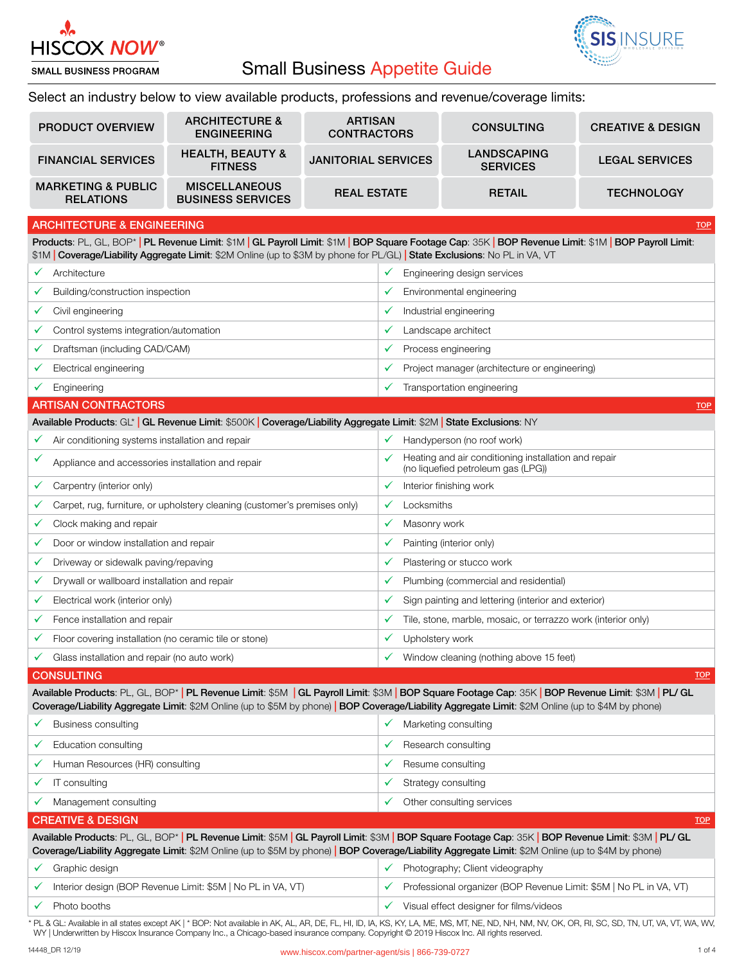

## Small Business Appetite Guide



**TOP** 

Select an industry below to view available products, professions and revenue/coverage limits:

| <b>PRODUCT OVERVIEW</b>                           | <b>ARCHITECTURE &amp;</b><br><b>ENGINEERING</b>  | <b>ARTISAN</b><br><b>CONTRACTORS</b> | <b>CONSULTING</b>                     | <b>CREATIVE &amp; DESIGN</b> |
|---------------------------------------------------|--------------------------------------------------|--------------------------------------|---------------------------------------|------------------------------|
| <b>FINANCIAL SERVICES</b>                         | <b>HEALTH, BEAUTY &amp;</b><br><b>FITNESS</b>    | <b>JANITORIAL SERVICES</b>           | <b>LANDSCAPING</b><br><b>SERVICES</b> | <b>LEGAL SERVICES</b>        |
| <b>MARKETING &amp; PUBLIC</b><br><b>RELATIONS</b> | <b>MISCELLANEOUS</b><br><b>BUSINESS SERVICES</b> | <b>REAL ESTATE</b>                   | <b>RETAIL</b>                         | <b>TECHNOLOGY</b>            |

## ARCHITECTURE & ENGINEERING

Products: PL, GL, BOP\* | PL Revenue Limit: \$1M | GL Payroll Limit: \$1M | BOP Square Footage Cap: 35K | BOP Revenue Limit: \$1M | BOP Payroll Limit: \$1M | Coverage/Liability Aggregate Limit: \$2M Online (up to \$3M by phone for PL/GL) | State Exclusions: No PL in VA, VT

|   | Architecture                                                                                                         |              | Engineering design services                                                                |
|---|----------------------------------------------------------------------------------------------------------------------|--------------|--------------------------------------------------------------------------------------------|
|   | Building/construction inspection                                                                                     |              | Environmental engineering                                                                  |
| ✓ | Civil engineering                                                                                                    | ✔            | Industrial engineering                                                                     |
|   | Control systems integration/automation                                                                               | v            | Landscape architect                                                                        |
|   | Draftsman (including CAD/CAM)                                                                                        | ✓            | Process engineering                                                                        |
|   | Electrical engineering                                                                                               |              | Project manager (architecture or engineering)                                              |
|   | Engineering                                                                                                          | ✓            | Transportation engineering                                                                 |
|   | <b>ARTISAN CONTRACTORS</b>                                                                                           |              | <b>TOP</b>                                                                                 |
|   | Available Products: GL*   GL Revenue Limit: \$500K   Coverage/Liability Aggregate Limit: \$2M   State Exclusions: NY |              |                                                                                            |
|   | Air conditioning systems installation and repair                                                                     | v            | Handyperson (no roof work)                                                                 |
| ✓ | Appliance and accessories installation and repair                                                                    |              | Heating and air conditioning installation and repair<br>(no liquefied petroleum gas (LPG)) |
|   | Carpentry (interior only)                                                                                            | ✔            | Interior finishing work                                                                    |
|   | Carpet, rug, furniture, or upholstery cleaning (customer's premises only)                                            | $\checkmark$ | Locksmiths                                                                                 |
|   | Clock making and repair                                                                                              | ✓            | Masonry work                                                                               |
|   | Door or window installation and repair                                                                               |              | Painting (interior only)                                                                   |
|   | Driveway or sidewalk paving/repaving                                                                                 |              | Plastering or stucco work                                                                  |
|   | Drywall or wallboard installation and repair                                                                         |              | Plumbing (commercial and residential)                                                      |
|   | Electrical work (interior only)                                                                                      | ✓            | Sign painting and lettering (interior and exterior)                                        |
|   | Fence installation and repair                                                                                        |              | Tile, stone, marble, mosaic, or terrazzo work (interior only)                              |
|   | Floor covering installation (no ceramic tile or stone)                                                               | ✓            | Upholstery work                                                                            |
|   | Glass installation and repair (no auto work)                                                                         |              | Window cleaning (nothing above 15 feet)                                                    |

## **CONSULTING**

Available Products: PL, GL, BOP\* | PL Revenue Limit: \$5M | GL Payroll Limit: \$3M | BOP Square Footage Cap: 35K | BOP Revenue Limit: \$3M | PL/ GL Coverage/Liability Aggregate Limit: \$2M Online (up to \$5M by phone) | BOP Coverage/Liability Aggregate Limit: \$2M Online (up to \$4M by phone)

|                                                                                                                                                                                                                                                                                                          | <b>Business consulting</b>                                  | Marketing consulting                                               |
|----------------------------------------------------------------------------------------------------------------------------------------------------------------------------------------------------------------------------------------------------------------------------------------------------------|-------------------------------------------------------------|--------------------------------------------------------------------|
|                                                                                                                                                                                                                                                                                                          | Education consulting                                        | Research consulting                                                |
|                                                                                                                                                                                                                                                                                                          | Human Resources (HR) consulting                             | Resume consulting                                                  |
|                                                                                                                                                                                                                                                                                                          | IT consulting                                               | Strategy consulting<br>✓                                           |
|                                                                                                                                                                                                                                                                                                          | Management consulting                                       | Other consulting services<br>✓                                     |
|                                                                                                                                                                                                                                                                                                          | <b>CREATIVE &amp; DESIGN</b>                                | <b>TOP</b>                                                         |
| Available Products: PL, GL, BOP*   PL Revenue Limit: \$5M   GL Payroll Limit: \$3M   BOP Square Footage Cap: 35K   BOP Revenue Limit: \$3M   PL/ GL<br>Coverage/Liability Aggregate Limit: \$2M Online (up to \$5M by phone)   BOP Coverage/Liability Aggregate Limit: \$2M Online (up to \$4M by phone) |                                                             |                                                                    |
|                                                                                                                                                                                                                                                                                                          |                                                             |                                                                    |
|                                                                                                                                                                                                                                                                                                          | Graphic design                                              | Photography: Client videography                                    |
|                                                                                                                                                                                                                                                                                                          | Interior design (BOP Revenue Limit: \$5M   No PL in VA, VT) | Professional organizer (BOP Revenue Limit: \$5M   No PL in VA, VT) |

PL & GL: Available in all states except AK | \* BOP: Not available in AK, AL, AR, DE, FL, HI, ID, IA, KS, KY, LA, ME, MS, MT, ME, ND, NH, NM, NV, OK, OR, RI, SC, SD, TN, UT, VA, VT, WA, WV, WY | Underwritten by Hiscox Insurance Company Inc., a Chicago-based insurance company. Copyright © 2019 Hiscox Inc. All rights reserved.

**TOP**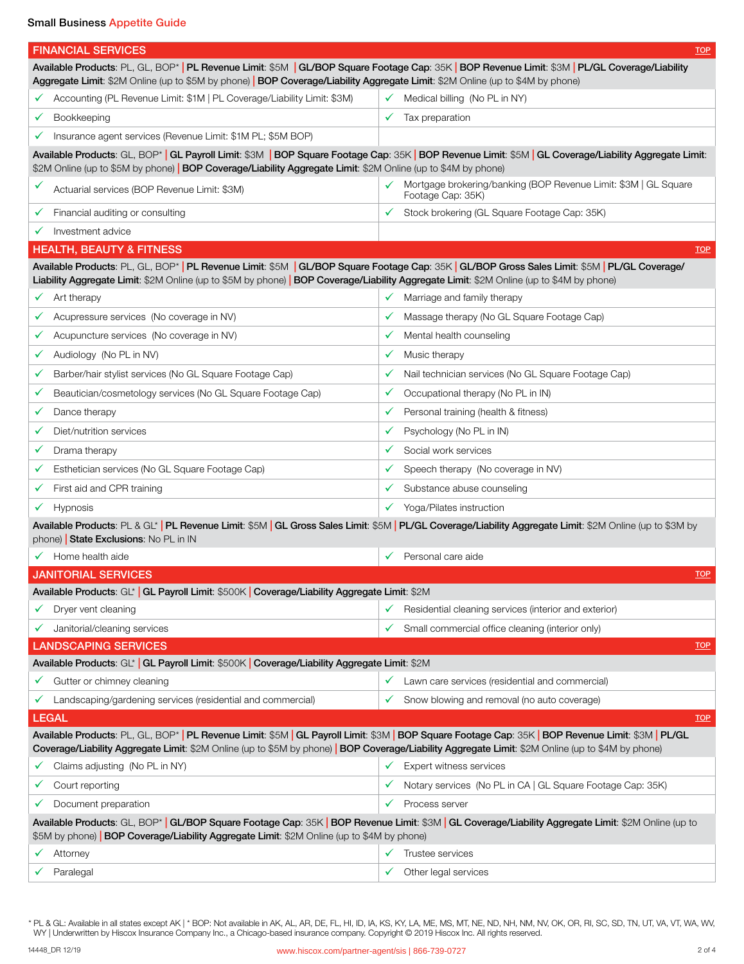Small Business Appetite Guide

| <b>FINANCIAL SERVICES</b>                                                                                                                                                                                                                                                                               | $\underline{\text{TOP}}$                                                                  |  |
|---------------------------------------------------------------------------------------------------------------------------------------------------------------------------------------------------------------------------------------------------------------------------------------------------------|-------------------------------------------------------------------------------------------|--|
| Available Products: PL, GL, BOP*   PL Revenue Limit: \$5M   GL/BOP Square Footage Cap: 35K   BOP Revenue Limit: \$3M   PL/GL Coverage/Liability<br>Aggregate Limit: \$2M Online (up to \$5M by phone)   BOP Coverage/Liability Aggregate Limit: \$2M Online (up to \$4M by phone)                       |                                                                                           |  |
| Accounting (PL Revenue Limit: \$1M   PL Coverage/Liability Limit: \$3M)<br>✓                                                                                                                                                                                                                            | Medical billing (No PL in NY)<br>✓                                                        |  |
| Bookkeeping<br>✓                                                                                                                                                                                                                                                                                        | Tax preparation<br>✓                                                                      |  |
| Insurance agent services (Revenue Limit: \$1M PL; \$5M BOP)<br>✓                                                                                                                                                                                                                                        |                                                                                           |  |
| Available Products: GL, BOP* GL Payroll Limit: \$3M   BOP Square Footage Cap: 35K   BOP Revenue Limit: \$5M   GL Coverage/Liability Aggregate Limit:<br>\$2M Online (up to \$5M by phone)   BOP Coverage/Liability Aggregate Limit: \$2M Online (up to \$4M by phone)                                   |                                                                                           |  |
| ✓<br>Actuarial services (BOP Revenue Limit: \$3M)                                                                                                                                                                                                                                                       | Mortgage brokering/banking (BOP Revenue Limit: \$3M   GL Square<br>✓<br>Footage Cap: 35K) |  |
| Financial auditing or consulting<br>v.                                                                                                                                                                                                                                                                  | Stock brokering (GL Square Footage Cap: 35K)<br>✓                                         |  |
| Investment advice<br>✓                                                                                                                                                                                                                                                                                  |                                                                                           |  |
| <b>HEALTH, BEAUTY &amp; FITNESS</b>                                                                                                                                                                                                                                                                     | <b>TOP</b>                                                                                |  |
| Available Products: PL, GL, BOP*   PL Revenue Limit: \$5M   GL/BOP Square Footage Cap: 35K   GL/BOP Gross Sales Limit: \$5M   PL/GL Coverage/<br>Liability Aggregate Limit: \$2M Online (up to \$5M by phone)   BOP Coverage/Liability Aggregate Limit: \$2M Online (up to \$4M by phone)               |                                                                                           |  |
| Art therapy<br>✓                                                                                                                                                                                                                                                                                        | Marriage and family therapy<br>✓                                                          |  |
| Acupressure services (No coverage in NV)<br>✓                                                                                                                                                                                                                                                           | Massage therapy (No GL Square Footage Cap)<br>✓                                           |  |
| Acupuncture services (No coverage in NV)<br>✓                                                                                                                                                                                                                                                           | Mental health counseling<br>✓                                                             |  |
| Audiology (No PL in NV)<br>✓                                                                                                                                                                                                                                                                            | Music therapy<br>✓                                                                        |  |
| Barber/hair stylist services (No GL Square Footage Cap)<br>✓                                                                                                                                                                                                                                            | Nail technician services (No GL Square Footage Cap)<br>✓                                  |  |
| Beautician/cosmetology services (No GL Square Footage Cap)<br>✓                                                                                                                                                                                                                                         | Occupational therapy (No PL in IN)<br>✓                                                   |  |
| Dance therapy<br>✓                                                                                                                                                                                                                                                                                      | Personal training (health & fitness)<br>✓                                                 |  |
| Diet/nutrition services                                                                                                                                                                                                                                                                                 | Psychology (No PL in IN)<br>✓                                                             |  |
| Drama therapy<br>✓                                                                                                                                                                                                                                                                                      | Social work services<br>✓                                                                 |  |
| Esthetician services (No GL Square Footage Cap)                                                                                                                                                                                                                                                         | Speech therapy (No coverage in NV)                                                        |  |
| First aid and CPR training<br>✓                                                                                                                                                                                                                                                                         | Substance abuse counseling<br>✓                                                           |  |
| Hypnosis                                                                                                                                                                                                                                                                                                | Yoga/Pilates instruction                                                                  |  |
| Available Products: PL & GL*   PL Revenue Limit: \$5M   GL Gross Sales Limit: \$5M   PL/GL Coverage/Liability Aggregate Limit: \$2M Online (up to \$3M by<br>phone) State Exclusions: No PL in IN                                                                                                       |                                                                                           |  |
| Home health aide                                                                                                                                                                                                                                                                                        | Personal care aide<br>✓                                                                   |  |
| <b>JANITORIAL SERVICES</b>                                                                                                                                                                                                                                                                              | <b>TOP</b>                                                                                |  |
| Available Products: GL*   GL Payroll Limit: \$500K   Coverage/Liability Aggregate Limit: \$2M                                                                                                                                                                                                           |                                                                                           |  |
| Dryer vent cleaning                                                                                                                                                                                                                                                                                     | Residential cleaning services (interior and exterior)                                     |  |
| Janitorial/cleaning services<br>v                                                                                                                                                                                                                                                                       | Small commercial office cleaning (interior only)<br>✓                                     |  |
| <b>LANDSCAPING SERVICES</b>                                                                                                                                                                                                                                                                             | $\underline{TOP}$                                                                         |  |
| Available Products: GL* GL Payroll Limit: \$500K Coverage/Liability Aggregate Limit: \$2M                                                                                                                                                                                                               |                                                                                           |  |
| Gutter or chimney cleaning<br>✓                                                                                                                                                                                                                                                                         | Lawn care services (residential and commercial)<br>✓                                      |  |
| Landscaping/gardening services (residential and commercial)                                                                                                                                                                                                                                             | Snow blowing and removal (no auto coverage)<br>✓                                          |  |
| <b>LEGAL</b>                                                                                                                                                                                                                                                                                            | <b>TOP</b>                                                                                |  |
| Available Products: PL, GL, BOP*   PL Revenue Limit: \$5M   GL Payroll Limit: \$3M   BOP Square Footage Cap: 35K   BOP Revenue Limit: \$3M   PL/GL<br>Coverage/Liability Aggregate Limit: \$2M Online (up to \$5M by phone)   BOP Coverage/Liability Aggregate Limit: \$2M Online (up to \$4M by phone) |                                                                                           |  |
| Claims adjusting (No PL in NY)                                                                                                                                                                                                                                                                          | Expert witness services                                                                   |  |
| Court reporting<br>v                                                                                                                                                                                                                                                                                    | Notary services (No PL in CA   GL Square Footage Cap: 35K)<br>✓                           |  |
| Document preparation                                                                                                                                                                                                                                                                                    | Process server<br>✓                                                                       |  |
| Available Products: GL, BOP*   GL/BOP Square Footage Cap: 35K   BOP Revenue Limit: \$3M   GL Coverage/Liability Aggregate Limit: \$2M Online (up to<br>\$5M by phone) <b>BOP Coverage/Liability Aggregate Limit</b> : \$2M Online (up to \$4M by phone)                                                 |                                                                                           |  |
| Attorney                                                                                                                                                                                                                                                                                                | Trustee services                                                                          |  |
| Paralegal                                                                                                                                                                                                                                                                                               | Other legal services<br>✓                                                                 |  |

\* PL & GL: Available in all states except AK | \* BOP: Not available in AK, AL, AR, DE, FL, HI, ID, IA, KS, KY, LA, ME, MS, MT, NE, ND, NH, NM, NV, OK, OR, RI, SC, SD, TN, UT, VA, VT, WA, WV, WY | Underwritten by Hiscox Insurance Company Inc., a Chicago-based insurance company. Copyright © 2019 Hiscox Inc. All rights reserved.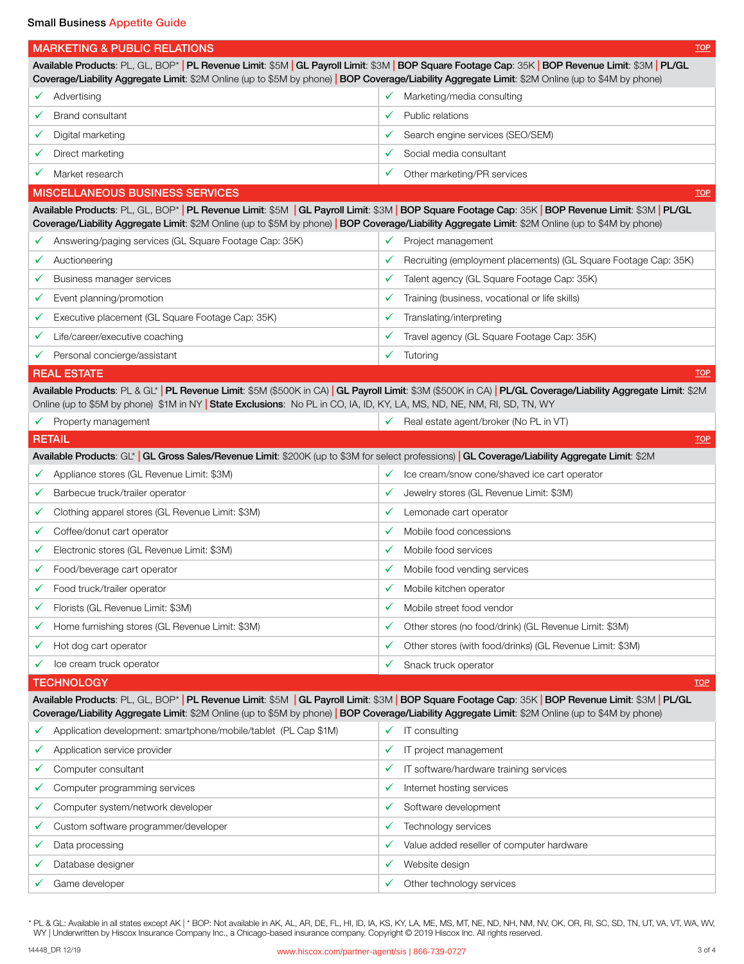| <b>MARKETING &amp; PUBLIC RELATIONS</b>                                                                                 | $\underline{TOP}$                                                                                                                                                                                                                                                                                       |
|-------------------------------------------------------------------------------------------------------------------------|---------------------------------------------------------------------------------------------------------------------------------------------------------------------------------------------------------------------------------------------------------------------------------------------------------|
|                                                                                                                         | Available Products: PL, GL, BOP*   PL Revenue Limit: \$5M   GL Payroll Limit: \$3M   BOP Square Footage Cap: 35K   BOP Revenue Limit: \$3M   PL/GL<br>Coverage/Liability Aggregate Limit: \$2M Online (up to \$5M by phone)   BOP Coverage/Liability Aggregate Limit: \$2M Online (up to \$4M by phone) |
| Advertising<br>✓                                                                                                        | Marketing/media consulting                                                                                                                                                                                                                                                                              |
| <b>Brand consultant</b>                                                                                                 | Public relations<br>✓                                                                                                                                                                                                                                                                                   |
| Digital marketing                                                                                                       | Search engine services (SEO/SEM)                                                                                                                                                                                                                                                                        |
| ✓                                                                                                                       | ✓                                                                                                                                                                                                                                                                                                       |
| Direct marketing                                                                                                        | Social media consultant                                                                                                                                                                                                                                                                                 |
| ✓                                                                                                                       | ✓                                                                                                                                                                                                                                                                                                       |
| Market research                                                                                                         | ✓                                                                                                                                                                                                                                                                                                       |
| ✔                                                                                                                       | Other marketing/PR services                                                                                                                                                                                                                                                                             |
| <b>MISCELLANEOUS BUSINESS SERVICES</b>                                                                                  | $\underline{TOP}$                                                                                                                                                                                                                                                                                       |
|                                                                                                                         | Available Products: PL, GL, BOP*   PL Revenue Limit: \$5M   GL Payroll Limit: \$3M   BOP Square Footage Cap: 35K   BOP Revenue Limit: \$3M   PL/GL<br>Coverage/Liability Aggregate Limit: \$2M Online (up to \$5M by phone)   BOP Coverage/Liability Aggregate Limit: \$2M Online (up to \$4M by phone) |
| Answering/paging services (GL Square Footage Cap: 35K)<br>✓                                                             | Project management                                                                                                                                                                                                                                                                                      |
| Auctioneering<br>✓                                                                                                      | Recruiting (employment placements) (GL Square Footage Cap: 35K)                                                                                                                                                                                                                                         |
| Business manager services                                                                                               | Talent agency (GL Square Footage Cap: 35K)                                                                                                                                                                                                                                                              |
| ✓                                                                                                                       | ✓                                                                                                                                                                                                                                                                                                       |
| Event planning/promotion                                                                                                | Training (business, vocational or life skills)                                                                                                                                                                                                                                                          |
| ✓                                                                                                                       | ✓                                                                                                                                                                                                                                                                                                       |
| Executive placement (GL Square Footage Cap: 35K)                                                                        | Translating/interpreting                                                                                                                                                                                                                                                                                |
| ✓                                                                                                                       | ✓                                                                                                                                                                                                                                                                                                       |
| Life/career/executive coaching                                                                                          | Travel agency (GL Square Footage Cap: 35K)                                                                                                                                                                                                                                                              |
| ✓                                                                                                                       | ✓                                                                                                                                                                                                                                                                                                       |
| Personal concierge/assistant                                                                                            | ✓                                                                                                                                                                                                                                                                                                       |
| ✔                                                                                                                       | Tutoring                                                                                                                                                                                                                                                                                                |
| <b>REAL ESTATE</b>                                                                                                      | <b>TOP</b>                                                                                                                                                                                                                                                                                              |
| Online (up to \$5M by phone) \$1M in NY   State Exclusions: No PL in CO, IA, ID, KY, LA, MS, ND, NE, NM, RI, SD, TN, WY | Available Products: PL & GL*   PL Revenue Limit: \$5M (\$500K in CA)   GL Payroll Limit: \$3M (\$500K in CA)   PL/GL Coverage/Liability Aggregate Limit: \$2M                                                                                                                                           |
| Property management                                                                                                     | Real estate agent/broker (No PL in VT)                                                                                                                                                                                                                                                                  |
| ✓                                                                                                                       | ✓                                                                                                                                                                                                                                                                                                       |
| <b>RETAIL</b>                                                                                                           | <b>TOP</b>                                                                                                                                                                                                                                                                                              |
|                                                                                                                         | Available Products: GL*   GL Gross Sales/Revenue Limit: \$200K (up to \$3M for select professions)   GL Coverage/Liability Aggregate Limit: \$2M                                                                                                                                                        |
| Appliance stores (GL Revenue Limit: \$3M)                                                                               | Ice cream/snow cone/shaved ice cart operator                                                                                                                                                                                                                                                            |
| $\checkmark$                                                                                                            | ✓                                                                                                                                                                                                                                                                                                       |
| Barbecue truck/trailer operator                                                                                         | Jewelry stores (GL Revenue Limit: \$3M)                                                                                                                                                                                                                                                                 |
| ✓                                                                                                                       | ✓                                                                                                                                                                                                                                                                                                       |
| Clothing apparel stores (GL Revenue Limit: \$3M)                                                                        | Lemonade cart operator                                                                                                                                                                                                                                                                                  |
| V                                                                                                                       | ✔                                                                                                                                                                                                                                                                                                       |
| Coffee/donut cart operator                                                                                              | Mobile food concessions                                                                                                                                                                                                                                                                                 |
| ✓                                                                                                                       | ✓                                                                                                                                                                                                                                                                                                       |
| Electronic stores (GL Revenue Limit: \$3M)                                                                              | Mobile food services                                                                                                                                                                                                                                                                                    |
| Food/beverage cart operator                                                                                             | Mobile food vending services                                                                                                                                                                                                                                                                            |
| ✓                                                                                                                       | ✓                                                                                                                                                                                                                                                                                                       |
| Food truck/trailer operator                                                                                             | Mobile kitchen operator<br>✓                                                                                                                                                                                                                                                                            |
| Florists (GL Revenue Limit: \$3M)                                                                                       | Mobile street food vendor                                                                                                                                                                                                                                                                               |
| ✓                                                                                                                       | ✓                                                                                                                                                                                                                                                                                                       |
| Home furnishing stores (GL Revenue Limit: \$3M)                                                                         | Other stores (no food/drink) (GL Revenue Limit: \$3M)                                                                                                                                                                                                                                                   |
| ✓                                                                                                                       | $\checkmark$                                                                                                                                                                                                                                                                                            |
| Hot dog cart operator                                                                                                   | Other stores (with food/drinks) (GL Revenue Limit: \$3M)                                                                                                                                                                                                                                                |
| ✓                                                                                                                       | ✓                                                                                                                                                                                                                                                                                                       |
| Ice cream truck operator                                                                                                | Snack truck operator<br>✓                                                                                                                                                                                                                                                                               |
| <b>TECHNOLOGY</b>                                                                                                       | <b>TOP</b>                                                                                                                                                                                                                                                                                              |
|                                                                                                                         | Available Products: PL, GL, BOP*   PL Revenue Limit: \$5M   GL Payroll Limit: \$3M   BOP Square Footage Cap: 35K   BOP Revenue Limit: \$3M   PL/GL<br>Coverage/Liability Aggregate Limit: \$2M Online (up to \$5M by phone)   BOP Coverage/Liability Aggregate Limit: \$2M Online (up to \$4M by phone) |
| Application development: smartphone/mobile/tablet (PL Cap \$1M)<br>✓                                                    | IT consulting                                                                                                                                                                                                                                                                                           |
| Application service provider                                                                                            | IT project management                                                                                                                                                                                                                                                                                   |
| ✓                                                                                                                       | ✓                                                                                                                                                                                                                                                                                                       |
| Computer consultant                                                                                                     | IT software/hardware training services                                                                                                                                                                                                                                                                  |
| ✓                                                                                                                       | ✓                                                                                                                                                                                                                                                                                                       |
| Computer programming services                                                                                           | Internet hosting services                                                                                                                                                                                                                                                                               |
| ✓                                                                                                                       | ✓                                                                                                                                                                                                                                                                                                       |
| Computer system/network developer                                                                                       | Software development                                                                                                                                                                                                                                                                                    |
| ✓                                                                                                                       | ✓                                                                                                                                                                                                                                                                                                       |
| Custom software programmer/developer                                                                                    | Technology services                                                                                                                                                                                                                                                                                     |
| ✓                                                                                                                       | ✓                                                                                                                                                                                                                                                                                                       |
| Data processing                                                                                                         | Value added reseller of computer hardware                                                                                                                                                                                                                                                               |
| ✓                                                                                                                       | ✓                                                                                                                                                                                                                                                                                                       |
| Database designer                                                                                                       | Website design                                                                                                                                                                                                                                                                                          |
| ✓                                                                                                                       | ✓                                                                                                                                                                                                                                                                                                       |

\* PL & GL: Available in all states except AK | \* BOP: Not available in AK, AL, AR, DE, FL, HI, ID, IA, KS, KY, LA, ME, MS, MT, NE, ND, NH, NM, NV, OK, OR, RI, SC, SD, TN, UT, VA, VT, WA, WV, WY | Underwritten by Hiscox Insurance Company Inc., a Chicago-based insurance company. Copyright © 2019 Hiscox Inc. All rights reserved.

 $\checkmark$  Game developer in the control of  $\checkmark$  Other technology services